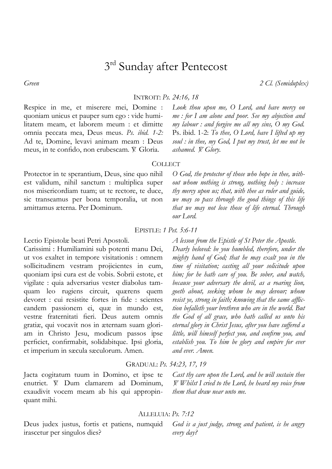# 3<sup>rd</sup> Sunday after Pentecost

*Green 2 Cl. (Semiduplex)*

INTROIT: *Ps. 24:16, 18*

Respice in me, et miserere mei, Domine : quoniam unicus et pauper sum ego : vide humilitatem meam, et laborem meum : et dimitte omnia peccata mea, Deus meus. *Ps. ibid. 1-2:* Ad te, Domine, levavi animam meam : Deus meus, in te confido, non erubescam. V. Gloria.

*Look thou upon me, O Lord, and have mercy on me : for I am alone and poor. See my abjection and my labour : and forgive me all my sins, O my God.*  Ps. ibid. 1-2: *To thee, O Lord, have I lifted up my soul : in thee, my God, I put my trust, let me not be ashamed.*  $\cancel{V}$ *. Glory.* 

*O God, the protector of those who hope in thee, without whom nothing is strong, nothing holy : increase thy mercy upon us; that, with thee as ruler and guide, we may so pass through the good things of this life that we may not lose those of life eternal. Through* 

### **COLLECT**

Protector in te sperantium, Deus, sine quo nihil est validum, nihil sanctum : multiplica super nos misericordiam tuam; ut te rectore, te duce, sic transeamus per bona temporalia, ut non amittamus æterna. Per Dominum.

## EPISTLE: *1 Pet. 5:6-11*

*our Lord.* 

Lectio Epistolæ beati Petri Apostoli.

Carissimi : Humiliamini sub potenti manu Dei, ut vos exaltet in tempore visitationis : omnem sollicitudinem vestram projicientes in eum, quoniam ipsi cura est de vobis. Sobrii estote, et vigilate : quia adversarius vester diabolus tamquam leo rugiens circuit, quærens quem devoret : cui resistite fortes in fide : scientes eandem passionem ei, quæ in mundo est, vestræ fraternitati fieri. Deus autem omnis gratiæ, qui vocavit nos in æternam suam gloriam in Christo Jesu, modicum passos ipse perficiet, confirmabit, solidabitque. Ipsi gloria, et imperium in sæcula sæculorum. Amen.

*A lesson from the Epistle of St Peter the Apostle. Dearly beloved: be you humbled, therefore, under the mighty hand of God; that he may exalt you in the time of visitation; casting all your solicitude upon him; for he hath care of you. Be sober, and watch, because your adversary the devil, as a roaring lion, goeth about, seeking whom he may devour; whom resist ye, strong in faith; knowing that the same affliction befalleth your brethren who are in the world. But the God of all grace, who hath called us unto his eternal glory in Christ Jesus, after you have suffered a little, will himself perfect you, and confirm you, and establish you. To him be glory and empire for ever* 

#### GRADUAL: *Ps. 54:23, 17, 19*

*and ever. Amen.* 

Jacta cogitatum tuum in Domino, et ipse te enutriet.  $\mathbb{V}$  Dum clamarem ad Dominum, exaudivit vocem meam ab his qui appropinquant mihi.

*Cast thy care upon the Lord, and he will sustain thee*  = *Whilst I cried to the Lord, he heard my voice from them that draw near unto me.* 

#### ALLELUIA: *Ps. 7:12*

Deus judex justus, fortis et patiens, numquid irascetur per singulos dies?

*God is a just judge, strong and patient, is he angry every day?*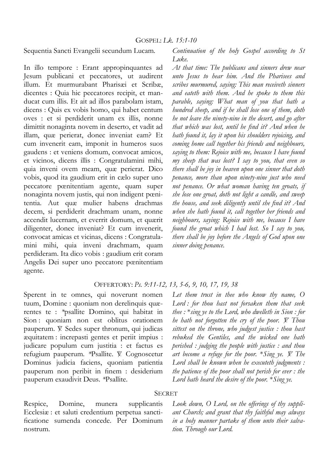Sequentia Sancti Evangelii secundum Lucam.

In illo tempore : Erant appropinquantes ad Jesum publicani et peccatores, ut audirent illum. Et murmurabant Pharisæi et Scribæ, dicentes : Quia hic peccatores recipit, et manducat cum illis. Et ait ad illos parabolam istam, dicens : Quis ex vobis homo, qui habet centum oves : et si perdiderit unam ex illis, nonne dimittit nonaginta novem in deserto, et vadit ad illam, quæ perierat, donec inveniat eam? Et cum invenerit eam, imponit in humeros suos gaudens : et veniens domum, convocat amicos, et vicinos, dicens illis : Congratulamini mihi, quia inveni ovem meam, quæ perierat. Dico vobis, quod ita gaudium erit in cælo super uno peccatore pœnitentiam agente, quam super nonaginta novem justis, qui non indigent pœnitentia. Aut quæ mulier habens drachmas decem, si perdiderit drachmam unam, nonne accendit lucernam, et everrit domum, et quærit diligenter, donec inveniat? Et cum invenerit, convocat amicas et vicinas, dicens : Congratulamini mihi, quia inveni drachmam, quam perdideram. Ita dico vobis : gaudium erit coram Angelis Dei super uno peccatore pœnitentiam agente.

*Continuation of the holy Gospel according to St Luke.* 

*At that time: The publicans and sinners drew near unto Jesus to hear him. And the Pharisees and scribes murmured, saying: This man receiveth sinners and eateth with them. And he spoke to them this parable, saying: What man of you that hath a hundred sheep, and if he shall lose one of them, doth he not leave the ninety-nine in the desert, and go after that which was lost, until he find it? And when he hath found it, lay it upon his shoulders rejoicing, and coming home call together his friends and neighbours, saying to them: Rejoice with me, because I have found my sheep that was lost? I say to you, that even so there shall be joy in heaven upon one sinner that doth penance, more than upon ninety-nine just who need not penance. Or what woman having ten groats, if she lose one groat, doth not light a candle, and sweep the house, and seek diligently until she find it? And when she hath found it, call together her friends and neighbours, saying: Rejoice with me, because I have found the groat which I had lost. So I say to you, there shall be joy before the Angels of God upon one sinner doing penance.* 

#### OFFERTORY: *Ps. 9:11-12, 13, 5-6, 9, 10, 17, 19, 38*

Sperent in te omnes, qui noverunt nomen tuum, Domine : quoniam non derelinquis quærentes te : *\**psallite Domino, qui habitat in Sion : quoniam non est oblitus orationem pauperum.  $\mathbb{V}$ . Sedes super thronum, qui judicas æquitatem : increpasti gentes et periit impius : judicare populum cum justitia : et factus es refugium pauperum. *\*Psallite.* V Cognoscetur Dominus judicia faciens, quoniam patientia pauperum non peribit in finem : desiderium pauperum exaudivit Deus. *\**Psallite.

*Let them trust in thee who know thy name, O Lord : for thou hast not forsaken them that seek thee :* \**sing ye to the Lord, who dwelleth in Sion : for he hath not forgotten the cry of the poor. V. Thou sittest on the throne, who judgest justice : thou hast rebuked the Gentiles, and the wicked one hath perished : judging the people with justice : and thou art become a refuge for the poor. \*Sing ye. V. The Lord shall be known when he executeth judgments : the patience of the poor shall not perish for ever : the Lord hath heard the desire of the poor.* \**Sing ye.*

## **SECRET**

Respice, Domine, munera supplicantis Ecclesiæ : et saluti credentium perpetua sanctificatione sumenda concede. Per Dominum nostrum.

*Look down, O Lord, on the offerings of thy suppliant Church; and grant that thy faithful may always in a holy manner partake of them unto their salvation. Through our Lord.*